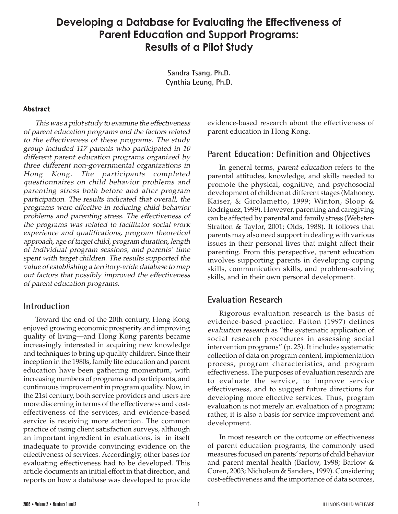# **Developing a Database for Evaluating the Effectiveness of Parent Education and Support Programs: Results of a Pilot Study**

**Sandra Tsang, Ph.D. Cynthia Leung, Ph.D.**

#### **Abstract**

This was a pilot study to examine the effectiveness of parent education programs and the factors related to the effectiveness of these programs. The study group included 117 parents who participated in 10 different parent education programs organized by three different non-governmental organizations in Hong Kong. The participants completed questionnaires on child behavior problems and parenting stress both before and after program participation. The results indicated that overall, the programs were effective in reducing child behavior problems and parenting stress. The effectiveness of the programs was related to facilitator social work experience and qualifications, program theoretical approach, age of target child, program duration, length of individual program sessions, and parents' time spent with target children. The results supported the value of establishing a territory-wide database to map out factors that possibly improved the effectiveness of parent education programs.

### **Introduction**

Toward the end of the 20th century, Hong Kong enjoyed growing economic prosperity and improving quality of living—and Hong Kong parents became increasingly interested in acquiring new knowledge and techniques to bring up quality children. Since their inception in the 1980s, family life education and parent education have been gathering momentum, with increasing numbers of programs and participants, and continuous improvement in program quality. Now, in the 21st century, both service providers and users are more discerning in terms of the effectiveness and costeffectiveness of the services, and evidence-based service is receiving more attention. The common practice of using client satisfaction surveys, although an important ingredient in evaluations, is in itself inadequate to provide convincing evidence on the effectiveness of services. Accordingly, other bases for evaluating effectiveness had to be developed. This article documents an initial effort in that direction, and reports on how a database was developed to provide evidence-based research about the effectiveness of parent education in Hong Kong.

## **Parent Education: Definition and Objectives**

In general terms, parent education refers to the parental attitudes, knowledge, and skills needed to promote the physical, cognitive, and psychosocial development of children at different stages (Mahoney, Kaiser, & Girolametto, 1999; Winton, Sloop & Rodriguez, 1999). However, parenting and caregiving can be affected by parental and family stress (Webster-Stratton & Taylor, 2001; Olds, 1988). It follows that parents may also need support in dealing with various issues in their personal lives that might affect their parenting. From this perspective, parent education involves supporting parents in developing coping skills, communication skills, and problem-solving skills, and in their own personal development.

### **Evaluation Research**

Rigorous evaluation research is the basis of evidence-based practice. Patton (1997) defines evaluation research as "the systematic application of social research procedures in assessing social intervention programs" (p. 23). It includes systematic collection of data on program content, implementation process, program characteristics, and program effectiveness. The purposes of evaluation research are to evaluate the service, to improve service effectiveness, and to suggest future directions for developing more effective services. Thus, program evaluation is not merely an evaluation of a program; rather, it is also a basis for service improvement and development.

In most research on the outcome or effectiveness of parent education programs, the commonly used measures focused on parents' reports of child behavior and parent mental health (Barlow, 1998; Barlow & Coren, 2003; Nicholson & Sanders, 1999). Considering cost-effectiveness and the importance of data sources,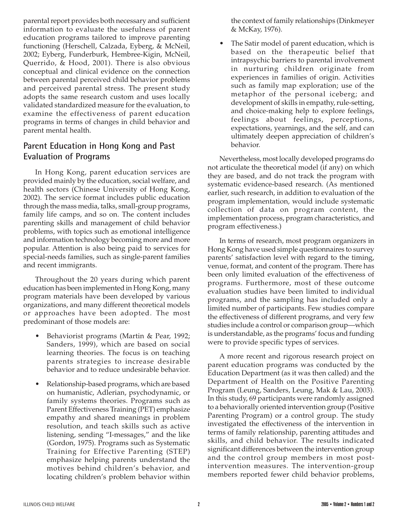parental report provides both necessary and sufficient information to evaluate the usefulness of parent education programs tailored to improve parenting functioning (Herschell, Calzada, Eyberg, & McNeil, 2002; Eyberg, Funderburk, Hembree-Kigin, McNeil, Querrido, & Hood, 2001). There is also obvious conceptual and clinical evidence on the connection between parental perceived child behavior problems and perceived parental stress. The present study adopts the same research custom and uses locally validated standardized measure for the evaluation, to examine the effectiveness of parent education programs in terms of changes in child behavior and parent mental health.

# **Parent Education in Hong Kong and Past Evaluation of Programs**

In Hong Kong, parent education services are provided mainly by the education, social welfare, and health sectors (Chinese University of Hong Kong, 2002). The service format includes public education through the mass media, talks, small-group programs, family life camps, and so on. The content includes parenting skills and management of child behavior problems, with topics such as emotional intelligence and information technology becoming more and more popular. Attention is also being paid to services for special-needs families, such as single-parent families and recent immigrants.

Throughout the 20 years during which parent education has been implemented in Hong Kong, many program materials have been developed by various organizations, and many different theoretical models or approaches have been adopted. The most predominant of those models are:

- Behaviorist programs (Martin & Pear, 1992; Sanders, 1999), which are based on social learning theories. The focus is on teaching parents strategies to increase desirable behavior and to reduce undesirable behavior.
- Relationship-based programs, which are based on humanistic, Adlerian, psychodynamic, or family systems theories. Programs such as Parent Effectiveness Training (PET) emphasize empathy and shared meanings in problem resolution, and teach skills such as active listening, sending "I-messages," and the like (Gordon, 1975). Programs such as Systematic Training for Effective Parenting (STEP) emphasize helping parents understand the motives behind children's behavior, and locating children's problem behavior within

the context of family relationships (Dinkmeyer & McKay, 1976).

• The Satir model of parent education, which is based on the therapeutic belief that intrapsychic barriers to parental involvement in nurturing children originate from experiences in families of origin. Activities such as family map exploration; use of the metaphor of the personal iceberg; and development of skills in empathy, rule-setting, and choice-making help to explore feelings, feelings about feelings, perceptions, expectations, yearnings, and the self, and can ultimately deepen appreciation of children's behavior.

Nevertheless, most locally developed programs do not articulate the theoretical model (if any) on which they are based, and do not track the program with systematic evidence-based research. (As mentioned earlier, such research, in addition to evaluation of the program implementation, would include systematic collection of data on program content, the implementation process, program characteristics, and program effectiveness.)

In terms of research, most program organizers in Hong Kong have used simple questionnaires to survey parents' satisfaction level with regard to the timing, venue, format, and content of the program. There has been only limited evaluation of the effectiveness of programs. Furthermore, most of these outcome evaluation studies have been limited to individual programs, and the sampling has included only a limited number of participants. Few studies compare the effectiveness of different programs, and very few studies include a control or comparison group—which is understandable, as the programs' focus and funding were to provide specific types of services.

A more recent and rigorous research project on parent education programs was conducted by the Education Department (as it was then called) and the Department of Health on the Positive Parenting Program (Leung, Sanders, Leung, Mak & Lau, 2003). In this study, 69 participants were randomly assigned to a behaviorally oriented intervention group (Positive Parenting Program) or a control group. The study investigated the effectiveness of the intervention in terms of family relationship, parenting attitudes and skills, and child behavior. The results indicated significant differences between the intervention group and the control group members in most postintervention measures. The intervention-group members reported fewer child behavior problems,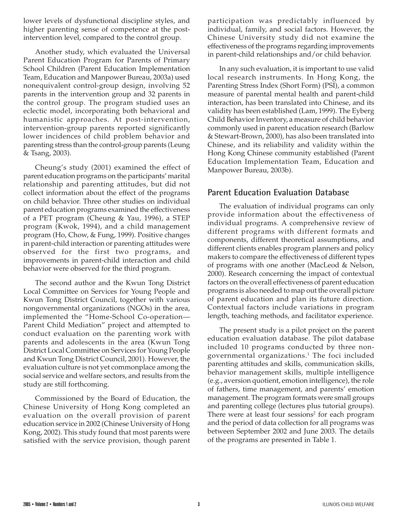lower levels of dysfunctional discipline styles, and higher parenting sense of competence at the postintervention level, compared to the control group.

Another study, which evaluated the Universal Parent Education Program for Parents of Primary School Children (Parent Education Implementation Team, Education and Manpower Bureau, 2003a) used nonequivalent control-group design, involving 52 parents in the intervention group and 32 parents in the control group. The program studied uses an eclectic model, incorporating both behavioral and humanistic approaches. At post-intervention, intervention-group parents reported significantly lower incidences of child problem behavior and parenting stress than the control-group parents (Leung & Tsang, 2003).

Cheung's study (2001) examined the effect of parent education programs on the participants' marital relationship and parenting attitudes, but did not collect information about the effect of the programs on child behavior. Three other studies on individual parent education programs examined the effectiveness of a PET program (Cheung & Yau, 1996), a STEP program (Kwok, 1994), and a child management program (Ho, Chow, & Fung, 1999). Positive changes in parent-child interaction or parenting attitudes were observed for the first two programs, and improvements in parent-child interaction and child behavior were observed for the third program.

The second author and the Kwun Tong District Local Committee on Services for Young People and Kwun Tong District Council, together with various nongovernmental organizations (NGOs) in the area, implemented the "Home-School Co-operation— Parent Child Mediation" project and attempted to conduct evaluation on the parenting work with parents and adolescents in the area (Kwun Tong District Local Committee on Services for Young People and Kwun Tong District Council, 2001). However, the evaluation culture is not yet commonplace among the social service and welfare sectors, and results from the study are still forthcoming.

Commissioned by the Board of Education, the Chinese University of Hong Kong completed an evaluation on the overall provision of parent education service in 2002 (Chinese University of Hong Kong, 2002). This study found that most parents were satisfied with the service provision, though parent participation was predictably influenced by individual, family, and social factors. However, the Chinese University study did not examine the effectiveness of the programs regarding improvements in parent-child relationships and/or child behavior.

In any such evaluation, it is important to use valid local research instruments. In Hong Kong, the Parenting Stress Index (Short Form) (PSI), a common measure of parental mental health and parent-child interaction, has been translated into Chinese, and its validity has been established (Lam, 1999). The Eyberg Child Behavior Inventory, a measure of child behavior commonly used in parent education research (Barlow & Stewart-Brown, 2000), has also been translated into Chinese, and its reliability and validity within the Hong Kong Chinese community established (Parent Education Implementation Team, Education and Manpower Bureau, 2003b).

## **Parent Education Evaluation Database**

The evaluation of individual programs can only provide information about the effectiveness of individual programs. A comprehensive review of different programs with different formats and components, different theoretical assumptions, and different clients enables program planners and policy makers to compare the effectiveness of different types of programs with one another (MacLeod & Nelson, 2000). Research concerning the impact of contextual factors on the overall effectiveness of parent education programs is also needed to map out the overall picture of parent education and plan its future direction. Contextual factors include variations in program length, teaching methods, and facilitator experience.

The present study is a pilot project on the parent education evaluation database. The pilot database included 10 programs conducted by three nongovernmental organizations. $^{\rm 1}$  The foci included parenting attitudes and skills, communication skills, behavior management skills, multiple intelligence (e.g., aversion quotient, emotion intelligence), the role of fathers, time management, and parents' emotion management. The program formats were small groups and parenting college (lectures plus tutorial groups). There were at least four sessions<sup>2</sup> for each program and the period of data collection for all programs was between September 2002 and June 2003. The details of the programs are presented in Table 1.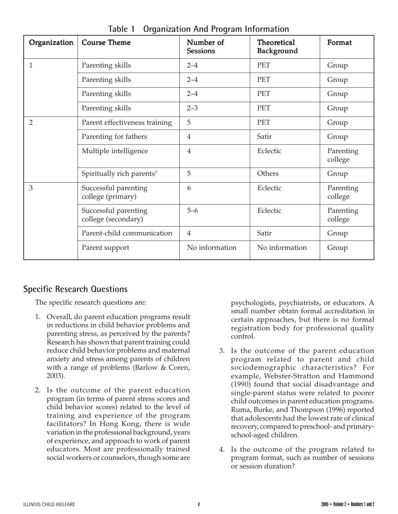| Organization   | <b>Course Theme</b>                         | Number of<br><b>Sessions</b> | <b>Theoretical</b><br><b>Background</b> | Format               |
|----------------|---------------------------------------------|------------------------------|-----------------------------------------|----------------------|
| $\mathbf{1}$   | Parenting skills                            | $2 - 4$                      | <b>PET</b>                              | Group                |
|                | Parenting skills                            | $2 - 4$                      | <b>PET</b>                              | Group                |
|                | Parenting skills                            | $2 - 4$                      | <b>PET</b>                              | Group                |
|                | Parenting skills                            | $2 - 3$                      | <b>PET</b>                              | Group                |
| $\overline{2}$ | Parent effectiveness training               | 5                            | <b>PET</b>                              | Group                |
|                | Parenting for fathers                       | $\overline{4}$               | Satir                                   | Group                |
|                | Multiple intelligence                       | 4                            | Eclectic                                | Parenting<br>college |
|                | Spiritually rich parents <sup>3</sup>       | 5                            | Others                                  | Group                |
| 3              | Successful parenting<br>college (primary)   | 6                            | Eclectic                                | Parenting<br>college |
|                | Successful parenting<br>college (secondary) | $5 - 6$                      | Eclectic                                | Parenting<br>college |
|                | Parent-child communication                  | $\overline{4}$               | Satir                                   | Group                |
|                | Parent support                              | No information               | No information                          | Group                |

**Table 1 Organization And Program Information**

# **Specific Research Questions**

The specific research questions are:

- 1. Overall, do parent education programs result in reductions in child behavior problems and parenting stress, as perceived by the parents? Research has shown that parent training could reduce child behavior problems and maternal anxiety and stress among parents of children with a range of problems (Barlow & Coren, 2003).
- 2. Is the outcome of the parent education program (in terms of parent stress scores and child behavior scores) related to the level of training and experience of the program facilitators? In Hong Kong, there is wide variation in the professional background, years of experience, and approach to work of parent educators. Most are professionally trained social workers or counselors, though some are

psychologists, psychiatrists, or educators. A small number obtain formal accreditation in certain approaches, but there is no formal registration body for professional quality control.

- 3. Is the outcome of the parent education program related to parent and child sociodemographic characteristics? For example, Webster-Stratton and Hammond (1990) found that social disadvantage and single-parent status were related to poorer child outcomes in parent education programs. Ruma, Burke, and Thompson (1996) reported that adolescents had the lowest rate of clinical recovery, compared to preschool- and primaryschool-aged children.
- 4. Is the outcome of the program related to program format, such as number of sessions or session duration?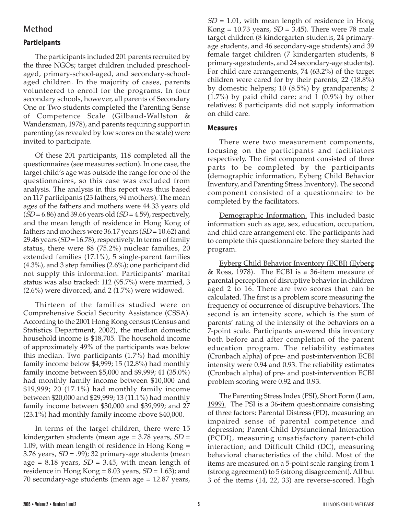## **Method**

### **Participant articipants**

The participants included 201 parents recruited by the three NGOs; target children included preschoolaged, primary-school-aged, and secondary-schoolaged children. In the majority of cases, parents volunteered to enroll for the programs. In four secondary schools, however, all parents of Secondary One or Two students completed the Parenting Sense of Competence Scale (Gilbaud-Wallston & Wandersman, 1978), and parents requiring support in parenting (as revealed by low scores on the scale) were invited to participate.

Of these 201 participants, 118 completed all the questionnaires (see measures section). In one case, the target child's age was outside the range for one of the questionnaires, so this case was excluded from analysis. The analysis in this report was thus based on 117 participants (23 fathers, 94 mothers). The mean ages of the fathers and mothers were 44.33 years old  $(SD = 6.86)$  and 39.66 years old  $(SD = 4.59)$ , respectively, and the mean length of residence in Hong Kong of fathers and mothers were 36.17 years  $(SD = 10.62)$  and 29.46 years ( $SD = 16.78$ ), respectively. In terms of family status, there were 88 (75.2%) nuclear families, 20 extended families (17.1%), 5 single-parent families (4.3%), and 3 step families (2.6%); one participant did not supply this information. Participants' marital status was also tracked: 112 (95.7%) were married, 3 (2.6%) were divorced, and 2 (1.7%) were widowed.

Thirteen of the families studied were on Comprehensive Social Security Assistance (CSSA). According to the 2001 Hong Kong census (Census and Statistics Department, 2002), the median domestic household income is \$18,705. The household income of approximately 49% of the participants was below this median. Two participants (1.7%) had monthly family income below \$4,999; 15 (12.8%) had monthly family income between \$5,000 and \$9,999; 41 (35.0%) had monthly family income between \$10,000 and \$19,999; 20 (17.1%) had monthly family income between \$20,000 and \$29,999; 13 (11.1%) had monthly family income between \$30,000 and \$39,999; and 27 (23.1%) had monthly family income above \$40,000.

In terms of the target children, there were 15 kindergarten students (mean age =  $3.78$  years,  $SD =$ 1.09, with mean length of residence in Hong Kong = 3.76 years,  $SD = .99$ ); 32 primary-age students (mean age = 8.18 years,  $SD = 3.45$ , with mean length of residence in Hong Kong =  $8.03$  years,  $SD = 1.63$ ); and 70 secondary-age students (mean age = 12.87 years,

 $SD = 1.01$ , with mean length of residence in Hong Kong = 10.73 years,  $SD = 3.45$ ). There were 78 male target children (8 kindergarten students, 24 primaryage students, and 46 secondary-age students) and 39 female target children (7 kindergarten students, 8 primary-age students, and 24 secondary-age students). For child care arrangements, 74 (63.2%) of the target children were cared for by their parents; 22 (18.8%) by domestic helpers; 10 (8.5%) by grandparents; 2 (1.7%) by paid child care; and 1 (0.9%) by other relatives; 8 participants did not supply information on child care.

#### **Measures**

There were two measurement components, focusing on the participants and facilitators respectively. The first component consisted of three parts to be completed by the participants (demographic information, Eyberg Child Behavior Inventory, and Parenting Stress Inventory). The second component consisted of a questionnaire to be completed by the facilitators.

Demographic Information. This included basic information such as age, sex, education, occupation, and child care arrangement etc. The participants had to complete this questionnaire before they started the program.

Eyberg Child Behavior Inventory (ECBI) (Eyberg <u>& Ross, 1978).</u> The ECBI is a 36-item measure of parental perception of disruptive behavior in children aged 2 to 16. There are two scores that can be calculated. The first is a problem score measuring the frequency of occurrence of disruptive behaviors. The second is an intensity score, which is the sum of parents' rating of the intensity of the behaviors on a 7-point scale. Participants answered this inventory both before and after completion of the parent education program. The reliability estimates (Cronbach alpha) of pre- and post-intervention ECBI intensity were 0.94 and 0.93. The reliability estimates (Cronbach alpha) of pre- and post-intervention ECBI problem scoring were 0.92 and 0.93.

The Parenting Stress Index (PSI), Short Form (Lam, 1999). The PSI is a 36-item questionnaire consisting of three factors: Parental Distress (PD), measuring an impaired sense of parental competence and depression; Parent-Child Dysfunctional Interaction (PCDI), measuring unsatisfactory parent-child interaction; and Difficult Child (DC), measuring behavioral characteristics of the child. Most of the items are measured on a 5-point scale ranging from 1 (strong agreement) to 5 (strong disagreement). All but 3 of the items (14, 22, 33) are reverse-scored. High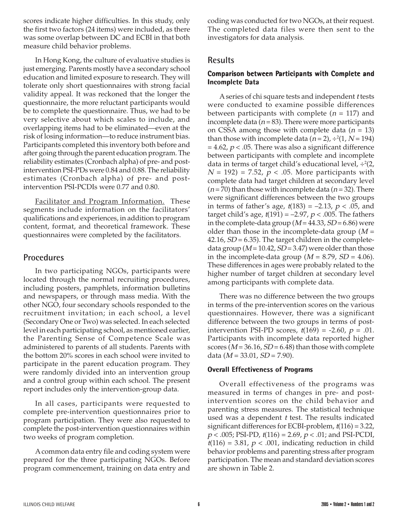scores indicate higher difficulties. In this study, only the first two factors (24 items) were included, as there was some overlap between DC and ECBI in that both measure child behavior problems.

In Hong Kong, the culture of evaluative studies is just emerging. Parents mostly have a secondary school education and limited exposure to research. They will tolerate only short questionnaires with strong facial validity appeal. It was reckoned that the longer the questionnaire, the more reluctant participants would be to complete the questionnaire. Thus, we had to be very selective about which scales to include, and overlapping items had to be eliminated—even at the risk of losing information—to reduce instrument bias. Participants completed this inventory both before and after going through the parent education program. The reliability estimates (Cronbach alpha) of pre- and postintervention PSI-PDs were 0.84 and 0.88. The reliability estimates (Cronbach alpha) of pre- and postintervention PSI-PCDIs were 0.77 and 0.80.

Facilitator and Program Information. These segments include information on the facilitators' qualifications and experiences, in addition to program content, format, and theoretical framework. These questionnaires were completed by the facilitators.

### **Procedures**

In two participating NGOs, participants were located through the normal recruiting procedures, including posters, pamphlets, information bulletins and newspapers, or through mass media. With the other NGO, four secondary schools responded to the recruitment invitation; in each school, a level (Secondary One or Two) was selected. In each selected level in each participating school, as mentioned earlier, the Parenting Sense of Competence Scale was administered to parents of all students. Parents with the bottom 20% scores in each school were invited to participate in the parent education program. They were randomly divided into an intervention group and a control group within each school. The present report includes only the intervention-group data.

In all cases, participants were requested to complete pre-intervention questionnaires prior to program participation. They were also requested to complete the post-intervention questionnaires within two weeks of program completion.

A common data entry file and coding system were prepared for the three participating NGOs. Before program commencement, training on data entry and coding was conducted for two NGOs, at their request. The completed data files were then sent to the investigators for data analysis.

## **Results**

#### **Compari Comparison between Participant articipants with Complete and Incomplete Data**

A series of chi square tests and independent t tests were conducted to examine possible differences between participants with complete ( $n = 117$ ) and incomplete data ( $n = 83$ ). There were more participants on CSSA among those with complete data  $(n = 13)$ than those with incomplete data ( $n=2$ ), ÷<sup>2</sup>(1, N = 194)  $= 4.62, p < .05$ . There was also a significant difference between participants with complete and incomplete data in terms of target child's educational level, ÷²(2,  $N = 192$ ) = 7.52,  $p < .05$ . More participants with complete data had target children at secondary level  $(n=70)$  than those with incomplete data  $(n=32)$ . There were significant differences between the two groups in terms of father's age,  $t(183) = -2.13$ ,  $p < .05$ , and target child's age,  $t(191) = -2.97$ ,  $p < .005$ . The fathers in the complete-data group ( $M = 44.33$ ,  $SD = 6.86$ ) were older than those in the incomplete-data group  $(M =$ 42.16,  $SD = 6.35$ ). The target children in the completedata group ( $M = 10.42$ ,  $SD = 3.47$ ) were older than those in the incomplete-data group ( $M = 8.79$ ,  $SD = 4.06$ ). These differences in ages were probably related to the higher number of target children at secondary level among participants with complete data.

There was no difference between the two groups in terms of the pre-intervention scores on the various questionnaires. However, there was a significant difference between the two groups in terms of postintervention PSI-PD scores,  $t(169) = -2.60$ ,  $p = .01$ . Participants with incomplete data reported higher scores ( $M = 36.16$ ,  $SD = 6.48$ ) than those with complete data ( $M = 33.01$ ,  $SD = 7.90$ ).

#### **Overall Effectiveness of Programs**

Overall effectiveness of the programs was measured in terms of changes in pre- and postintervention scores on the child behavior and parenting stress measures. The statistical technique used was a dependent *t* test. The results indicated significant differences for ECBI-problem, t(116) = 3.22,  $p < .005$ ; PSI-PD,  $t(116) = 2.69$ ,  $p < .01$ ; and PSI-PCDI,  $t(116) = 3.81$ ,  $p < .001$ , indicating reduction in child behavior problems and parenting stress after program participation. The mean and standard deviation scores are shown in Table 2.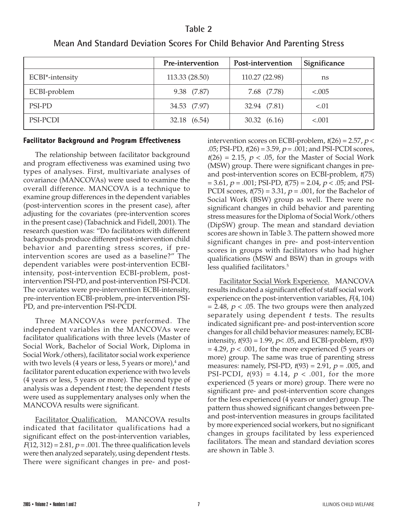### **Table 2**

|                 | Pre-intervention | Post-intervention | Significance |
|-----------------|------------------|-------------------|--------------|
| ECBI*-intensity | 113.33 (28.50)   | 110.27 (22.98)    | ns           |
| ECBI-problem    | 9.38 (7.87)      | 7.68 (7.78)       | < 0.005      |
| <b>PSI-PD</b>   | 34.53 (7.97)     | 32.94 (7.81)      | < 0.01       |
| PSI-PCDI        | 32.18 (6.54)     | 30.32 (6.16)      | $-.001$      |

## **Mean And Standard Deviation Scores For Child Behavior And Parenting Stress**

#### **Facilitator Background and Program Effectiveness**

The relationship between facilitator background and program effectiveness was examined using two types of analyses. First, multivariate analyses of covariance (MANCOVAs) were used to examine the overall difference. MANCOVA is a technique to examine group differences in the dependent variables (post-intervention scores in the present case), after adjusting for the covariates (pre-intervention scores in the present case) (Tabachnick and Fidell, 2001). The research question was: "Do facilitators with different backgrounds produce different post-intervention child behavior and parenting stress scores, if preintervention scores are used as a baseline?" The dependent variables were post-intervention ECBIintensity, post-intervention ECBI-problem, postintervention PSI-PD, and post-intervention PSI-PCDI. The covariates were pre-intervention ECBI-intensity, pre-intervention ECBI-problem, pre-intervention PSI-PD, and pre-intervention PSI-PCDI.

Three MANCOVAs were performed. The independent variables in the MANCOVAs were facilitator qualifications with three levels (Master of Social Work, Bachelor of Social Work, Diploma in Social Work/others), facilitator social work experience with two levels (4 years or less, 5 years or more), $^4$  and facilitator parent education experience with two levels (4 years or less, 5 years or more). The second type of analysis was a dependent *t* test; the dependent *t* tests were used as supplementary analyses only when the MANCOVA results were significant.

Facilitator Qualification. MANCOVA results indicated that facilitator qualifications had a significant effect on the post-intervention variables,  $F(12, 312) = 2.81, p = .001$ . The three qualification levels were then analyzed separately, using dependent t tests. There were significant changes in pre- and postintervention scores on ECBI-problem,  $t(26) = 2.57$ ,  $p <$ .05; PSI-PD,  $t(26) = 3.59$ ,  $p = .001$ ; and PSI-PCDI scores,  $t(26) = 2.15$ ,  $p < .05$ , for the Master of Social Work (MSW) group. There were significant changes in preand post-intervention scores on ECBI-problem,  $t(75)$  $= 3.61, p = .001; PSI-PD, t(75) = 2.04, p < .05;$  and PSI-PCDI scores,  $t(75) = 3.31$ ,  $p = .001$ , for the Bachelor of Social Work (BSW) group as well. There were no significant changes in child behavior and parenting stress measures for the Diploma of Social Work/others (DipSW) group. The mean and standard deviation scores are shown in Table 3. The pattern showed more significant changes in pre- and post-intervention scores in groups with facilitators who had higher qualifications (MSW and BSW) than in groups with less qualified facilitators.<sup>5</sup>

Facilitator Social Work Experience. MANCOVA results indicated a significant effect of staff social work experience on the post-intervention variables,  $F(4, 104)$ = 2.48,  $p < .05$ . The two groups were then analyzed separately using dependent  $t$  tests. The results indicated significant pre- and post-intervention score changes for all child behavior measures: namely, ECBIintensity,  $t(93) = 1.99$ ,  $p < .05$ , and ECBI-problem,  $t(93)$  $= 4.29$ ,  $p < .001$ , for the more experienced (5 years or more) group. The same was true of parenting stress measures: namely, PSI-PD,  $t(93) = 2.91$ ,  $p = .005$ , and PSI-PCDI,  $t(93) = 4.14$ ,  $p < .001$ , for the more experienced (5 years or more) group. There were no significant pre- and post-intervention score changes for the less experienced (4 years or under) group. The pattern thus showed significant changes between preand post-intervention measures in groups facilitated by more experienced social workers, but no significant changes in groups facilitated by less experienced facilitators. The mean and standard deviation scores are shown in Table 3.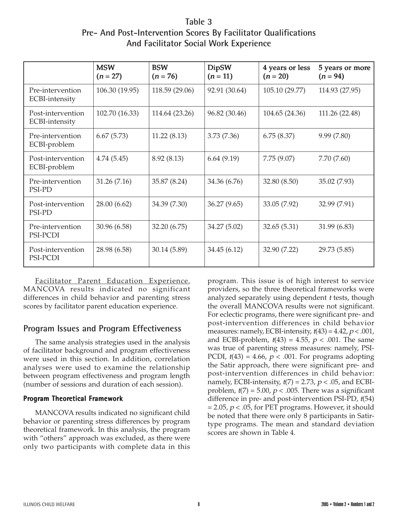**Table 3 Pre- And Post-Intervention Scores By Facilitator Qualifications And Facilitator Social Work Experience**

|                                     | <b>MSW</b><br>$(n = 27)$ | <b>BSW</b><br>$(n = 76)$ | <b>DipSW</b><br>$(n = 11)$ | 4 years or less<br>$(n = 20)$ | 5 years or more<br>$(n = 94)$ |
|-------------------------------------|--------------------------|--------------------------|----------------------------|-------------------------------|-------------------------------|
| Pre-intervention<br>ECBI-intensity  | 106.30 (19.95)           | 118.59 (29.06)           | 92.91 (30.64)              | 105.10 (29.77)                | 114.93 (27.95)                |
| Post-intervention<br>ECBI-intensity | 102.70 (16.33)           | 114.64 (23.26)           | 96.82 (30.46)              | 104.65 (24.36)                | 111.26 (22.48)                |
| Pre-intervention<br>ECBI-problem    | 6.67(5.73)               | 11.22(8.13)              | 3.73(7.36)                 | 6.75(8.37)                    | 9.99(7.80)                    |
| Post-intervention<br>ECBI-problem   | 4.74(5.45)               | 8.92(8.13)               | 6.64(9.19)                 | 7.75(9.07)                    | 7.70(7.60)                    |
| Pre-intervention<br>PSI-PD          | 31.26 (7.16)             | 35.87 (8.24)             | 34.36 (6.76)               | 32.80 (8.50)                  | 35.02 (7.93)                  |
| Post-intervention<br>PSI-PD         | 28.00 (6.62)             | 34.39 (7.30)             | 36.27(9.65)                | 33.05 (7.92)                  | 32.99 (7.91)                  |
| Pre-intervention<br>PSI-PCDI        | 30.96 (6.58)             | 32.20 (6.75)             | 34.27 (5.02)               | 32.65(5.31)                   | 31.99 (6.83)                  |
| Post-intervention<br>PSI-PCDI       | 28.98 (6.58)             | 30.14 (5.89)             | 34.45(6.12)                | 32.90 (7.22)                  | 29.73 (5.85)                  |

Facilitator Parent Education Experience. MANCOVA results indicated no significant differences in child behavior and parenting stress scores by facilitator parent education experience.

## **Program Issues and Program Effectiveness**

The same analysis strategies used in the analysis of facilitator background and program effectiveness were used in this section. In addition, correlation analyses were used to examine the relationship between program effectiveness and program length (number of sessions and duration of each session).

### **Program Theoretical Framework**

MANCOVA results indicated no significant child behavior or parenting stress differences by program theoretical framework. In this analysis, the program with "others" approach was excluded, as there were only two participants with complete data in this program. This issue is of high interest to service providers, so the three theoretical frameworks were analyzed separately using dependent *t* tests, though the overall MANCOVA results were not significant. For eclectic programs, there were significant pre- and post-intervention differences in child behavior measures: namely, ECBI-intensity,  $t(43) = 4.42$ ,  $p < .001$ , and ECBI-problem,  $t(43) = 4.55$ ,  $p < .001$ . The same was true of parenting stress measures: namely, PSI-PCDI,  $t(43) = 4.66$ ,  $p < .001$ . For programs adopting the Satir approach, there were significant pre- and post-intervention differences in child behavior: namely, ECBI-intensity,  $t(7) = 2.73$ ,  $p < .05$ , and ECBIproblem,  $t(7) = 5.00$ ,  $p < .005$ . There was a significant difference in pre- and post-intervention PSI-PD, t(54)  $= 2.05$ ,  $p < .05$ , for PET programs. However, it should be noted that there were only 8 participants in Satirtype programs. The mean and standard deviation scores are shown in Table 4.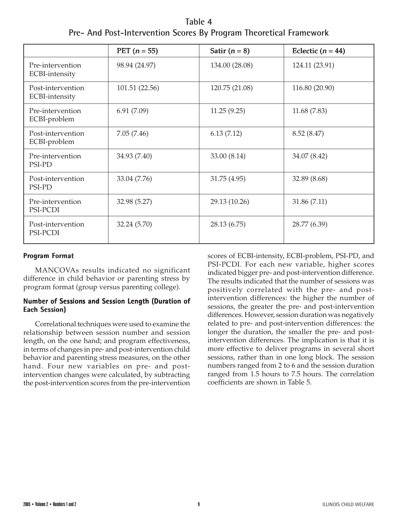**Table 4 Pre- And Post-Intervention Scores By Program Theoretical Framework**

|                                     | PET $(n = 55)$ | Satir $(n = 8)$ | Eclectic $(n = 44)$ |  |
|-------------------------------------|----------------|-----------------|---------------------|--|
| Pre-intervention<br>ECBI-intensity  | 98.94 (24.97)  | 134.00 (28.08)  | 124.11 (23.91)      |  |
| Post-intervention<br>ECBI-intensity | 101.51 (22.56) | 120.75 (21.08)  | 116.80 (20.90)      |  |
| Pre-intervention<br>ECBI-problem    | 6.91(7.09)     | 11.25(9.25)     | 11.68 (7.83)        |  |
| Post-intervention<br>ECBI-problem   | 7.05(7.46)     | 6.13(7.12)      | 8.52(8.47)          |  |
| Pre-intervention<br>PSI-PD          | 34.93 (7.40)   | 33.00 (8.14)    | 34.07 (8.42)        |  |
| Post-intervention<br>PSI-PD         | 33.04 (7.76)   | 31.75 (4.95)    | 32.89 (8.68)        |  |
| Pre-intervention<br>PSI-PCDI        | 32.98 (5.27)   | 29.13 (10.26)   | 31.86 (7.11)        |  |
| Post-intervention<br>PSI-PCDI       | 32.24 (5.70)   | 28.13 (6.75)    | 28.77 (6.39)        |  |

#### **Program Format**

MANCOVAs results indicated no significant difference in child behavior or parenting stress by program format (group versus parenting college).

#### **Number of Sessions and Session Length (Duration of Each Session)**

Correlational techniques were used to examine the relationship between session number and session length, on the one hand; and program effectiveness, in terms of changes in pre- and post-intervention child behavior and parenting stress measures, on the other hand. Four new variables on pre- and postintervention changes were calculated, by subtracting the post-intervention scores from the pre-intervention

scores of ECBI-intensity, ECBI-problem, PSI-PD, and PSI-PCDI. For each new variable, higher scores indicated bigger pre- and post-intervention difference. The results indicated that the number of sessions was positively correlated with the pre- and postintervention differences: the higher the number of sessions, the greater the pre- and post-intervention differences. However, session duration was negatively related to pre- and post-intervention differences: the longer the duration, the smaller the pre- and postintervention differences. The implication is that it is more effective to deliver programs in several short sessions, rather than in one long block. The session numbers ranged from 2 to 6 and the session duration ranged from 1.5 hours to 7.5 hours. The correlation coefficients are shown in Table 5.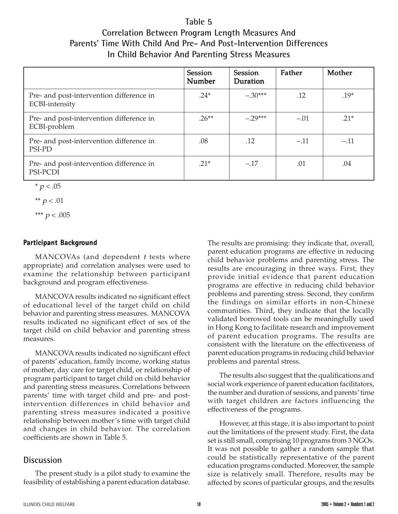# **Table 5 Correlation Between Program Length Measures And Parents' Time With Child And Pre- And Post-Intervention Differences In Child Behavior And Parenting Stress Measures**

|                                                            | Session<br>Number | Session<br><b>Duration</b> | Father | Mother |
|------------------------------------------------------------|-------------------|----------------------------|--------|--------|
| Pre- and post-intervention difference in<br>ECBI-intensity | $.24*$            | $-.30***$                  | .12    | $.19*$ |
| Pre- and post-intervention difference in<br>ECBI-problem   | $.26***$          | $-29***$                   | $-.01$ | $.21*$ |
| Pre- and post-intervention difference in<br>PSI-PD         | .08               | .12                        | $-.11$ | $-.11$ |
| Pre- and post-intervention difference in<br>PSI-PCDI       | $.21*$            | $-.17$                     | .01    | .04    |

 $* p < .05$ 

\*\*  $p < .01$ 

\*\*\*  $p < .005$ 

## **Participant Background**

MANCOVAs (and dependent *t* tests where appropriate) and correlation analyses were used to examine the relationship between participant background and program effectiveness.

MANCOVA results indicated no significant effect of educational level of the target child on child behavior and parenting stress measures. MANCOVA results indicated no significant effect of sex of the target child on child behavior and parenting stress measures.

MANCOVA results indicated no significant effect of parents' education, family income, working status of mother, day care for target child, or relationship of program participant to target child on child behavior and parenting stress measures. Correlations between parents' time with target child and pre- and postintervention differences in child behavior and parenting stress measures indicated a positive relationship between mother's time with target child and changes in child behavior. The correlation coefficients are shown in Table 5.

# **Discussion**

The present study is a pilot study to examine the feasibility of establishing a parent education database.

The results are promising: they indicate that, overall, parent education programs are effective in reducing child behavior problems and parenting stress. The results are encouraging in three ways. First, they provide initial evidence that parent education programs are effective in reducing child behavior problems and parenting stress. Second, they confirm the findings on similar efforts in non-Chinese communities. Third, they indicate that the locally validated borrowed tools can be meaningfully used in Hong Kong to facilitate research and improvement of parent education programs. The results are consistent with the literature on the effectiveness of parent education programs in reducing child behavior problems and parental stress.

The results also suggest that the qualifications and social work experience of parent education facilitators, the number and duration of sessions, and parents' time with target children are factors influencing the effectiveness of the programs.

However, at this stage, it is also important to point out the limitations of the present study. First, the data set is still small, comprising 10 programs from 3 NGOs. It was not possible to gather a random sample that could be statistically representative of the parent education programs conducted. Moreover, the sample size is relatively small. Therefore, results may be affected by scores of particular groups, and the results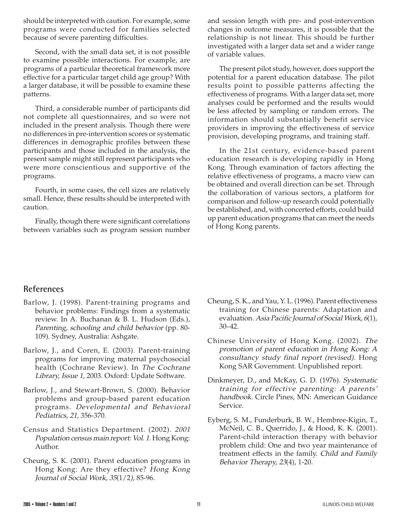should be interpreted with caution. For example, some programs were conducted for families selected because of severe parenting difficulties.

Second, with the small data set, it is not possible to examine possible interactions. For example, are programs of a particular theoretical framework more effective for a particular target child age group? With a larger database, it will be possible to examine these patterns.

Third, a considerable number of participants did not complete all questionnaires, and so were not included in the present analysis. Though there were no differences in pre-intervention scores or systematic differences in demographic profiles between these participants and those included in the analysis, the present sample might still represent participants who were more conscientious and supportive of the programs.

Fourth, in some cases, the cell sizes are relatively small. Hence, these results should be interpreted with caution.

Finally, though there were significant correlations between variables such as program session number and session length with pre- and post-intervention changes in outcome measures, it is possible that the relationship is not linear. This should be further investigated with a larger data set and a wider range of variable values.

The present pilot study, however, does support the potential for a parent education database. The pilot results point to possible patterns affecting the effectiveness of programs. With a larger data set, more analyses could be performed and the results would be less affected by sampling or random errors. The information should substantially benefit service providers in improving the effectiveness of service provision, developing programs, and training staff.

In the 21st century, evidence-based parent education research is developing rapidly in Hong Kong. Through examination of factors affecting the relative effectiveness of programs, a macro view can be obtained and overall direction can be set. Through the collaboration of various sectors, a platform for comparison and follow-up research could potentially be established, and, with concerted efforts, could build up parent education programs that can meet the needs of Hong Kong parents.

## **References**

- Barlow, J. (1998). Parent-training programs and behavior problems: Findings from a systematic review. In A. Buchanan & B. L. Hudson (Eds.), Parenting, schooling and child behavior (pp. 80- 109). Sydney, Australia: Ashgate.
- Barlow, J., and Coren, E. (2003). Parent-training programs for improving maternal psychosocial health (Cochrane Review). In The Cochrane Library, Issue 1, 2003. Oxford: Update Software.
- Barlow, J., and Stewart-Brown, S. (2000). Behavior problems and group-based parent education programs. Developmental and Behavioral Pediatrics, 21, 356-370.
- Census and Statistics Department. (2002). 2001 Population census main report: Vol. 1. Hong Kong: Author.
- Cheung, S. K. (2001). Parent education programs in Hong Kong: Are they effective? Hong Kong Journal of Social Work, 35(1/2), 85-96.
- Cheung, S. K., and Yau, Y. L. (1996). Parent effectiveness training for Chinese parents: Adaptation and evaluation. Asia Pacific Journal of Social Work, 6(1), 30–42.
- Chinese University of Hong Kong. (2002). The promotion of parent education in Hong Kong: A consultancy study final report (revised). Hong Kong SAR Government. Unpublished report.
- Dinkmeyer, D., and McKay, G. D. (1976). Systematic training for effective parenting: A parents' handbook. Circle Pines, MN: American Guidance Service.
- Eyberg, S. M., Funderburk, B. W., Hembree-Kigin, T., McNeil, C. B., Querrido, J., & Hood, K. K. (2001). Parent-child interaction therapy with behavior problem child: One and two year maintenance of treatment effects in the family. Child and Family Behavior Therapy, 23(4), 1-20.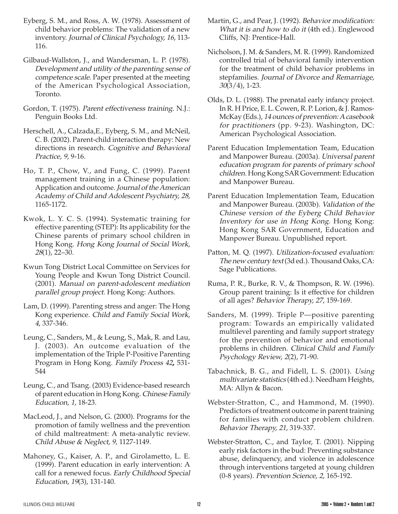- Eyberg, S. M., and Ross, A. W. (1978). Assessment of child behavior problems: The validation of a new inventory. Journal of Clinical Psychology, 16, 113- 116.
- Gilbaud-Wallston, J., and Wandersman, L. P. (1978). Development and utility of the parenting sense of competence scale. Paper presented at the meeting of the American Psychological Association, Toronto.
- Gordon, T. (1975). Parent effectiveness training. N.J.: Penguin Books Ltd.
- Herschell, A., Calzada,E., Eyberg, S. M., and McNeil, C. B. (2002). Parent-child interaction therapy: New directions in research. Cognitive and Behavioral Practice, 9, 9-16.
- Ho, T. P., Chow, V., and Fung, C. (1999). Parent management training in a Chinese population: Application and outcome. Journal of the American Academy of Child and Adolescent Psychiatry, 28, 1165-1172.
- Kwok, L. Y. C. S. (1994). Systematic training for effective parenting (STEP): Its applicability for the Chinese parents of primary school children in Hong Kong. Hong Kong Journal of Social Work, 28(1), 22–30.
- Kwun Tong District Local Committee on Services for Young People and Kwun Tong District Council. (2001). Manual on parent-adolescent mediation parallel group project. Hong Kong: Authors.
- Lam, D. (1999). Parenting stress and anger: The Hong Kong experience. Child and Family Social Work, <sup>4</sup>, 337-346.
- Leung, C., Sanders, M., & Leung, S., Mak, R. and Lau, J. (2003). An outcome evaluation of the implementation of the Triple P-Positive Parenting Program in Hong Kong. Family Process 42, 531- 544
- Leung, C., and Tsang. (2003) Evidence-based research of parent education in Hong Kong. Chinese Family Education, 1, 18-23.
- MacLeod, J., and Nelson, G. (2000). Programs for the promotion of family wellness and the prevention of child maltreatment: A meta-analytic review. Child Abuse & Neglect, 9, 1127-1149.
- Mahoney, G., Kaiser, A. P., and Girolametto, L. E. (1999). Parent education in early intervention: A call for a renewed focus. Early Childhood Special Education, 19(3), 131-140.
- Martin, G., and Pear, J. (1992). Behavior modification: What it is and how to do it (4th ed.). Englewood Cliffs, NJ: Prentice-Hall.
- Nicholson, J. M. & Sanders, M. R. (1999). Randomized controlled trial of behavioral family intervention for the treatment of child behavior problems in stepfamilies. Journal of Divorce and Remarriage, 30(3/4), 1-23.
- Olds, D. L. (1988). The prenatal early infancy project. In R. H Price, E. L. Cowen, R. P. Lorion, & J. Ramos-McKay (Eds.), 14 ounces of prevention: A casebook for practitioners (pp. 9-23). Washington, DC: American Psychological Association.
- Parent Education Implementation Team, Education and Manpower Bureau. (2003a). Universal parent education program for parents of primary school children. Hong Kong SAR Government: Education and Manpower Bureau.
- Parent Education Implementation Team, Education and Manpower Bureau. (2003b). Validation of the Chinese version of the Eyberg Child Behavior Inventory for use in Hong Kong. Hong Kong: Hong Kong SAR Government, Education and Manpower Bureau. Unpublished report.
- Patton, M. Q. (1997). Utilization-focused evaluation: The new century text (3d ed.). Thousand Oaks, CA: Sage Publications.
- Ruma, P. R., Burke, R. V., & Thompson, R. W. (1996). Group parent training: Is it effective for children of all ages? Behavior Therapy, 27, 159-169.
- Sanders, M. (1999). Triple P—positive parenting program: Towards an empirically validated multilevel parenting and family support strategy for the prevention of behavior and emotional problems in children. Clinical Child and Family Psychology Review, 2(2), 71-90.
- Tabachnick, B. G., and Fidell, L. S. (2001). Using multivariate statistics (4th ed.). Needham Heights, MA: Allyn & Bacon.
- Webster-Stratton, C., and Hammond, M. (1990). Predictors of treatment outcome in parent training for families with conduct problem children. Behavior Therapy, 21, 319-337.
- Webster-Stratton, C., and Taylor, T. (2001). Nipping early risk factors in the bud: Preventing substance abuse, delinquency, and violence in adolescence through interventions targeted at young children (0-8 years). Prevention Science, 2, 165-192.